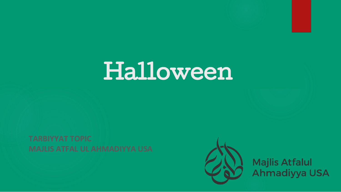## Halloween



Majlis Atfalul<br>Ahmadiyya USA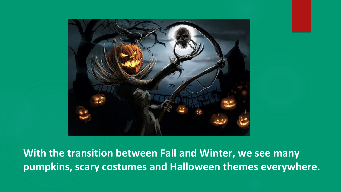

**With the transition between Fall and Winter, we see many pumpkins, scary costumes and Halloween themes everywhere.**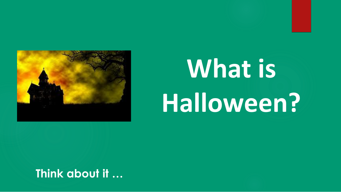

# **What is Halloween?**

**Think about it …**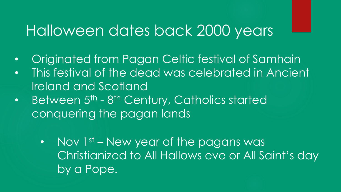### Halloween dates back 2000 years

- Originated from Pagan Celtic festival of Samhain
- This festival of the dead was celebrated in Ancient. Ireland and Scotland
- Between 5<sup>th</sup> 8<sup>th</sup> Century, Catholics started conquering the pagan lands
	- Nov 1st New year of the pagans was Christianized to All Hallows eve or All Saint's day by a Pope.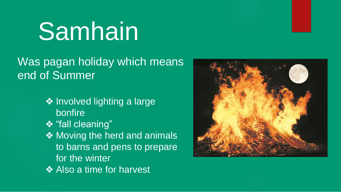## **Samhain**

#### Was pagan holiday which means end of Summer

- ❖ Involved lighting a large bonfire
- ❖ "fall cleaning"
- ◆ Moving the herd and animals to barns and pens to prepare for the winter
- ❖ Also a time for harvest

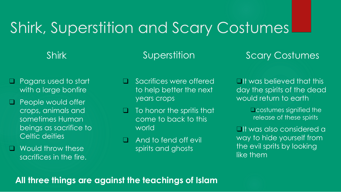## Shirk, Superstition and Scary Costumes

#### Shirk

#### Superstition

#### Scary Costumes

- ❑ Pagans used to start with a large bonfire
- ❑ People would offer crops, animals and sometimes Human beings as sacrifice to Celtic deities
- ❑ Would throw these sacrifices in the fire.
- ❑ Sacrifices were offered to help better the next years crops
- $\Box$  To honor the spritis that come to back to this world
- □ And to fend off evil spirits and ghosts

❑It was believed that this day the spirits of the dead would return to earth

> ❑costumes signified the release of these spirits

❑It was also considered a way to hide yourself from the evil sprits by looking like them

#### **All three things are against the teachings of Islam**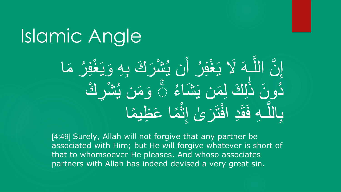## Islamic Angle

إِنَّ اللَّـهَ لَا يَغْفِرُ أَن يُشْرَكَ بِهِ وَيَغْفِرُ مَا  $\frac{a}{1}$  $\frac{1}{2}$  $\frac{1}{2}$  $\frac{1}{2}$ **C**   $\begin{bmatrix} 1 \\ 1 \\ 1 \end{bmatrix}$ **C**   $\frac{1}{2}$  $\frac{1}{\sqrt{2}}$ و<br>ب دُونَ ذَٰلِكَ لِمَن يَشَاءُ ۞ وَمَن يُشْرِكُ و<br>ا  $\frac{1}{2}$ و<br>کا  $\frac{1}{\sqrt{2}}$ ِل  $\frac{1}{\sqrt{2}}$ بِاللَّـهِ فَقَدِ افْتَرَىٰ إِنَّمَا عَظِيمًا  $\frac{1}{2}$  $\overline{\phantom{a}}$  $\sum_{i=1}^{n}$ **C**  $\frac{1}{2}$ المسلم<br>أحمال **Theory** المسلم<br>أحمال

[4:49] Surely, Allah will not forgive that any partner be associated with Him; but He will forgive whatever is short of that to whomsoever He pleases. And whoso associates partners with Allah has indeed devised a very great sin.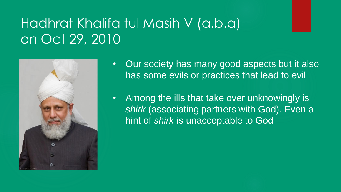### Hadhrat Khalifa tul Masih V (a.b.a) on Oct 29, 2010



- Our society has many good aspects but it also has some evils or practices that lead to evil
- Among the ills that take over unknowingly is *shirk* (associating partners with God). Even a hint of *shirk* is unacceptable to God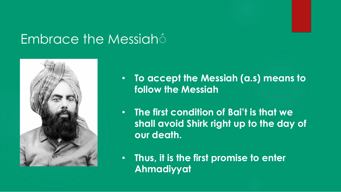#### **Embrace the Messiah**



- **To accept the Messiah (a.s) means to follow the Messiah**
- **The first condition of Bai't is that we shall avoid Shirk right up to the day of our death.**
- **Thus, it is the first promise to enter Ahmadiyyat**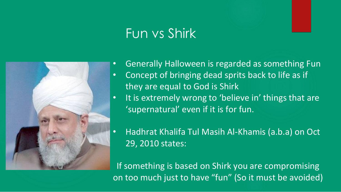### Fun vs Shirk



• Generally Halloween is regarded as something Fun

- Concept of bringing dead sprits back to life as if they are equal to God is Shirk
- It is extremely wrong to 'believe in' things that are 'supernatural' even if it is for fun.
- Hadhrat Khalifa Tul Masih Al-Khamis (a.b.a) on Oct 29, 2010 states:

If something is based on Shirk you are compromising on too much just to have "fun" (So it must be avoided)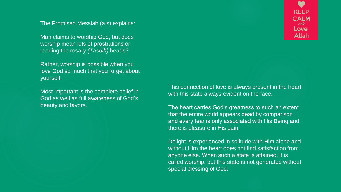The Promised Messiah (a.s) explains:

Man claims to worship God, but does worship mean lots of prostrations or reading the rosary *(Tasbih)* beads?

Rather, worship is possible when you love God so much that you forget about yourself.

Most important is the complete belief in God as well as full awareness of God's beauty and favors.

This connection of love is always present in the heart with this state always evident on the face.

The heart carries God's greatness to such an extent that the entire world appears dead by comparison and every fear is only associated with His Being and there is pleasure in His pain.

Delight is experienced in solitude with Him alone and without Him the heart does not find satisfaction from anyone else. When such a state is attained, it is called worship, but this state is not generated without special blessing of God.